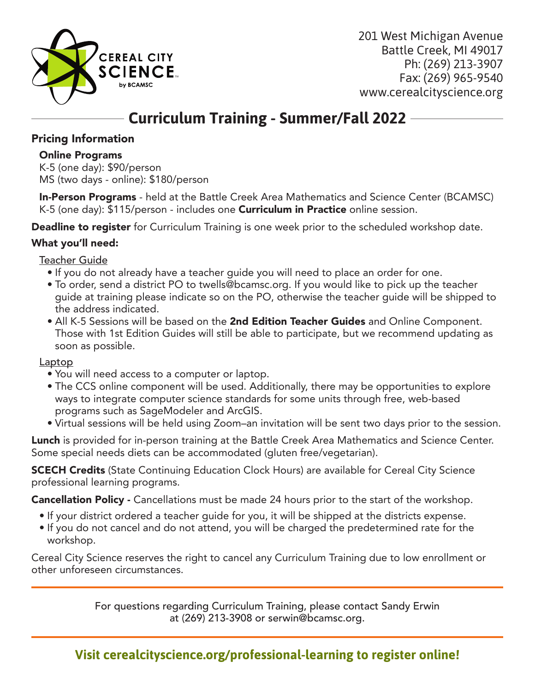

## **Curriculum Training - Summer/Fall 2022**

#### Pricing Information

#### Online Programs

K-5 (one day): \$90/person MS (two days - online): \$180/person

**In-Person Programs** - held at the Battle Creek Area Mathematics and Science Center (BCAMSC) K-5 (one day): \$115/person - includes one **Curriculum in Practice** online session.

Deadline to register for Curriculum Training is one week prior to the scheduled workshop date.

#### What you'll need:

Teacher Guide

- If you do not already have a teacher guide you will need to place an order for one.
- To order, send a district PO to twells@bcamsc.org. If you would like to pick up the teacher guide at training please indicate so on the PO, otherwise the teacher guide will be shipped to the address indicated.
- All K-5 Sessions will be based on the 2nd Edition Teacher Guides and Online Component. Those with 1st Edition Guides will still be able to participate, but we recommend updating as soon as possible.

#### Laptop

- You will need access to a computer or laptop.
- The CCS online component will be used. Additionally, there may be opportunities to explore ways to integrate computer science standards for some units through free, web-based programs such as SageModeler and ArcGIS.
- Virtual sessions will be held using Zoom–an invitation will be sent two days prior to the session.

**Lunch** is provided for in-person training at the Battle Creek Area Mathematics and Science Center. Some special needs diets can be accommodated (gluten free/vegetarian).

**SCECH Credits** (State Continuing Education Clock Hours) are available for Cereal City Science professional learning programs.

**Cancellation Policy -** Cancellations must be made 24 hours prior to the start of the workshop.

- If your district ordered a teacher guide for you, it will be shipped at the districts expense.
- If you do not cancel and do not attend, you will be charged the predetermined rate for the workshop.

Cereal City Science reserves the right to cancel any Curriculum Training due to low enrollment or other unforeseen circumstances.

> For questions regarding Curriculum Training, please contact Sandy Erwin at (269) 213-3908 or serwin@bcamsc.org.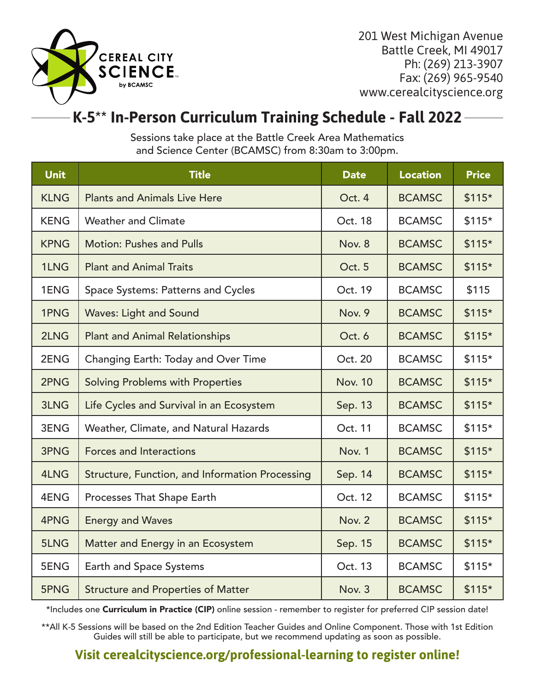

## **K-5\*\* In-Person Curriculum Training Schedule - Fall 2022**

Sessions take place at the Battle Creek Area Mathematics and Science Center (BCAMSC) from 8:30am to 3:00pm.

| <b>Unit</b> | <b>Title</b>                                    | <b>Date</b>    | <b>Location</b> | <b>Price</b> |
|-------------|-------------------------------------------------|----------------|-----------------|--------------|
| <b>KLNG</b> | <b>Plants and Animals Live Here</b>             | Oct. 4         | <b>BCAMSC</b>   | $$115*$      |
| <b>KENG</b> | <b>Weather and Climate</b>                      | Oct. 18        | <b>BCAMSC</b>   | $$115*$      |
| <b>KPNG</b> | <b>Motion: Pushes and Pulls</b>                 | Nov. 8         | <b>BCAMSC</b>   | $$115*$      |
| 1LNG        | <b>Plant and Animal Traits</b>                  | Oct. 5         | <b>BCAMSC</b>   | $$115*$      |
| 1ENG        | Space Systems: Patterns and Cycles              | Oct. 19        | <b>BCAMSC</b>   | \$115        |
| 1PNG        | <b>Waves: Light and Sound</b>                   | <b>Nov. 9</b>  | <b>BCAMSC</b>   | $$115*$      |
| 2LNG        | <b>Plant and Animal Relationships</b>           | Oct. 6         | <b>BCAMSC</b>   | $$115*$      |
| 2ENG        | Changing Earth: Today and Over Time             | Oct. 20        | <b>BCAMSC</b>   | $$115*$      |
| 2PNG        | <b>Solving Problems with Properties</b>         | <b>Nov. 10</b> | <b>BCAMSC</b>   | $$115*$      |
| 3LNG        | Life Cycles and Survival in an Ecosystem        | Sep. 13        | <b>BCAMSC</b>   | $$115*$      |
| 3ENG        | Weather, Climate, and Natural Hazards           | Oct. 11        | <b>BCAMSC</b>   | $$115*$      |
| 3PNG        | <b>Forces and Interactions</b>                  | Nov. 1         | <b>BCAMSC</b>   | $$115*$      |
| 4LNG        | Structure, Function, and Information Processing | Sep. 14        | <b>BCAMSC</b>   | $$115*$      |
| 4ENG        | Processes That Shape Earth                      | Oct. 12        | <b>BCAMSC</b>   | $$115*$      |
| 4PNG        | <b>Energy and Waves</b>                         | Nov. 2         | <b>BCAMSC</b>   | $$115*$      |
| 5LNG        | Matter and Energy in an Ecosystem               | Sep. 15        | <b>BCAMSC</b>   | $$115*$      |
| 5ENG        | Earth and Space Systems                         | Oct. 13        | <b>BCAMSC</b>   | $$115*$      |
| 5PNG        | <b>Structure and Properties of Matter</b>       | Nov. 3         | <b>BCAMSC</b>   | $$115*$      |

\*Includes one Curriculum in Practice (CIP) online session - remember to register for preferred CIP session date!

\*\*All K-5 Sessions will be based on the 2nd Edition Teacher Guides and Online Component. Those with 1st Edition Guides will still be able to participate, but we recommend updating as soon as possible.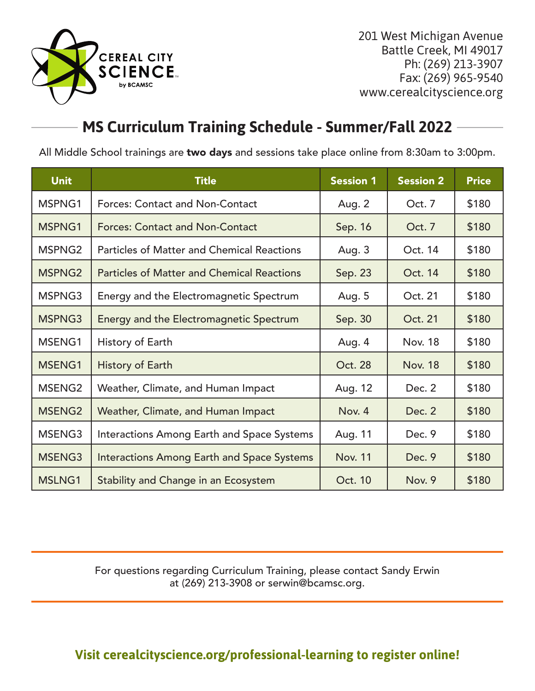

## **MS Curriculum Training Schedule - Summer/Fall 2022**

All Middle School trainings are two days and sessions take place online from 8:30am to 3:00pm.

| <b>Unit</b>        | <b>Title</b>                                      | <b>Session 1</b> | <b>Session 2</b> | <b>Price</b> |
|--------------------|---------------------------------------------------|------------------|------------------|--------------|
| MSPNG1             | <b>Forces: Contact and Non-Contact</b>            | Aug. 2           | Oct. 7           | \$180        |
| MSPNG1             | <b>Forces: Contact and Non-Contact</b>            | Sep. 16          | Oct. 7           | \$180        |
| MSPNG2             | <b>Particles of Matter and Chemical Reactions</b> | Aug. 3           | Oct. 14          | \$180        |
| MSPNG <sub>2</sub> | <b>Particles of Matter and Chemical Reactions</b> | Sep. 23          | Oct. 14          | \$180        |
| MSPNG3             | Energy and the Electromagnetic Spectrum           | Aug. 5           | Oct. 21          | \$180        |
| MSPNG3             | Energy and the Electromagnetic Spectrum           | Sep. 30          | Oct. 21          | \$180        |
| MSENG1             | History of Earth                                  | Aug. 4           | <b>Nov. 18</b>   | \$180        |
| MSENG1             | History of Earth                                  | Oct. 28          | <b>Nov. 18</b>   | \$180        |
| MSENG <sub>2</sub> | Weather, Climate, and Human Impact                | Aug. 12          | Dec. 2           | \$180        |
| MSENG <sub>2</sub> | Weather, Climate, and Human Impact                | Nov. 4           | Dec. 2           | \$180        |
| MSENG3             | Interactions Among Earth and Space Systems        | Aug. 11          | Dec. 9           | \$180        |
| MSENG3             | <b>Interactions Among Earth and Space Systems</b> | <b>Nov. 11</b>   | Dec. 9           | \$180        |
| MSLNG1             | Stability and Change in an Ecosystem              | Oct. 10          | Nov. 9           | \$180        |

For questions regarding Curriculum Training, please contact Sandy Erwin at (269) 213-3908 or serwin@bcamsc.org.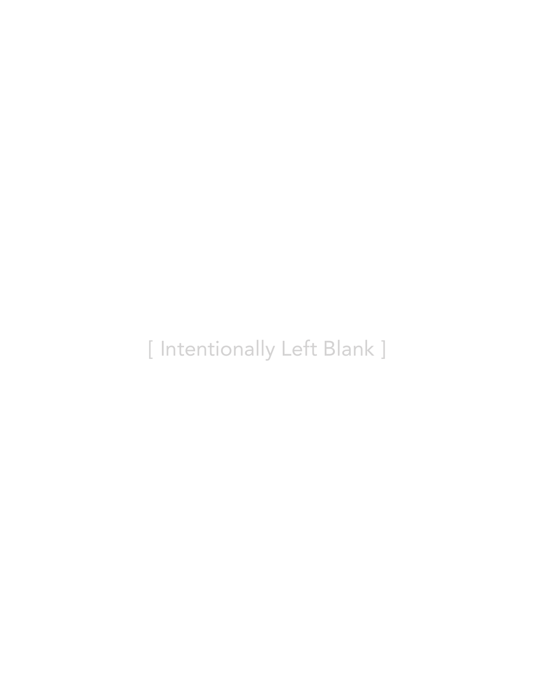## [ Intentionally Left Blank ]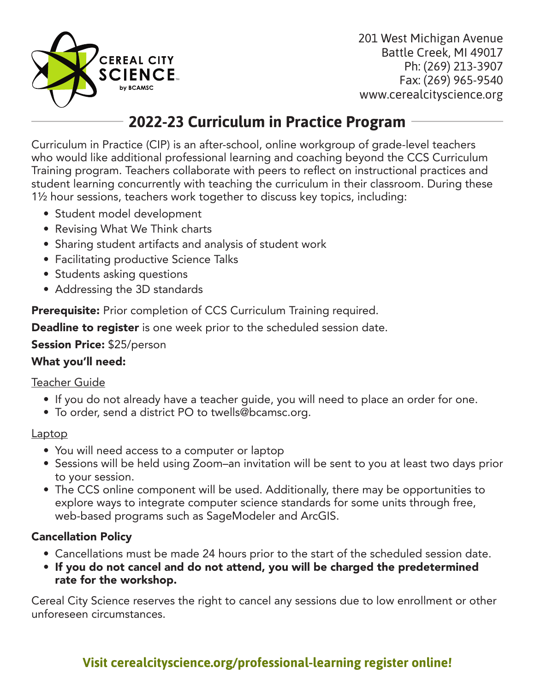

## **2022-23 Curriculum in Practice Program**

Curriculum in Practice (CIP) is an after-school, online workgroup of grade-level teachers who would like additional professional learning and coaching beyond the CCS Curriculum Training program. Teachers collaborate with peers to reflect on instructional practices and student learning concurrently with teaching the curriculum in their classroom. During these 1½ hour sessions, teachers work together to discuss key topics, including:

- Student model development
- Revising What We Think charts
- Sharing student artifacts and analysis of student work
- Facilitating productive Science Talks
- Students asking questions
- Addressing the 3D standards

Prerequisite: Prior completion of CCS Curriculum Training required.

Deadline to register is one week prior to the scheduled session date.

#### Session Price: \$25/person

#### What you'll need:

#### Teacher Guide

- If you do not already have a teacher guide, you will need to place an order for one.
- To order, send a district PO to twells@bcamsc.org.

#### **Laptop**

- You will need access to a computer or laptop
- Sessions will be held using Zoom–an invitation will be sent to you at least two days prior to your session.
- The CCS online component will be used. Additionally, there may be opportunities to explore ways to integrate computer science standards for some units through free, web-based programs such as SageModeler and ArcGIS.

#### Cancellation Policy

- Cancellations must be made 24 hours prior to the start of the scheduled session date.
- If you do not cancel and do not attend, you will be charged the predetermined rate for the workshop.

Cereal City Science reserves the right to cancel any sessions due to low enrollment or other unforeseen circumstances.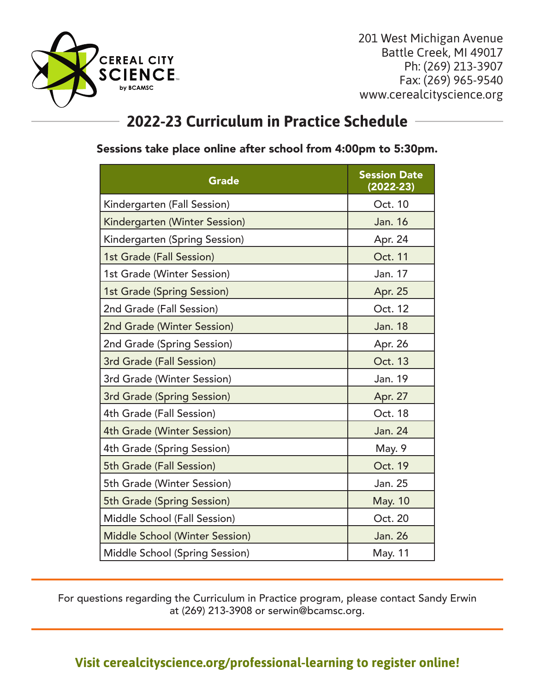

## **2022-23 Curriculum in Practice Schedule**

Sessions take place online after school from 4:00pm to 5:30pm.

| <b>Grade</b>                          | <b>Session Date</b><br>$(2022 - 23)$ |
|---------------------------------------|--------------------------------------|
| Kindergarten (Fall Session)           | Oct. 10                              |
| Kindergarten (Winter Session)         | Jan. 16                              |
| Kindergarten (Spring Session)         | Apr. 24                              |
| 1st Grade (Fall Session)              | Oct. 11                              |
| 1st Grade (Winter Session)            | Jan. 17                              |
| <b>1st Grade (Spring Session)</b>     | Apr. 25                              |
| 2nd Grade (Fall Session)              | Oct. 12                              |
| 2nd Grade (Winter Session)            | <b>Jan. 18</b>                       |
| 2nd Grade (Spring Session)            | Apr. 26                              |
| 3rd Grade (Fall Session)              | Oct. 13                              |
| 3rd Grade (Winter Session)            | Jan. 19                              |
| 3rd Grade (Spring Session)            | Apr. 27                              |
| 4th Grade (Fall Session)              | Oct. 18                              |
| 4th Grade (Winter Session)            | Jan. 24                              |
| 4th Grade (Spring Session)            | May. 9                               |
| 5th Grade (Fall Session)              | Oct. 19                              |
| 5th Grade (Winter Session)            | Jan. 25                              |
| <b>5th Grade (Spring Session)</b>     | May. 10                              |
| Middle School (Fall Session)          | Oct. 20                              |
| Middle School (Winter Session)        | <b>Jan. 26</b>                       |
| <b>Middle School (Spring Session)</b> | May. 11                              |

For questions regarding the Curriculum in Practice program, please contact Sandy Erwin at (269) 213-3908 or serwin@bcamsc.org.